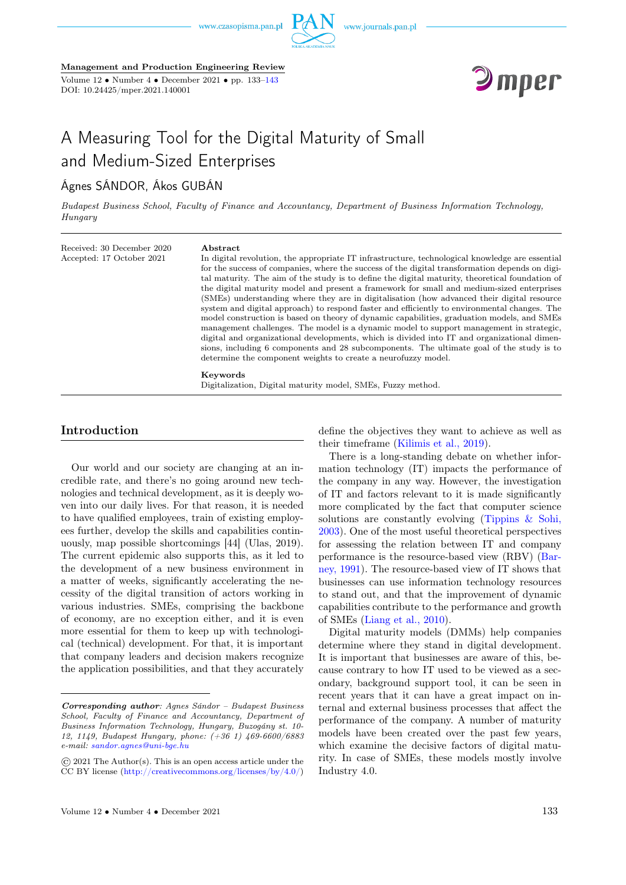

Management and Production Engineering Review

Volume  $12 \cdot \text{Number } 4 \cdot \text{December } 2021 \cdot \text{pp. } 133-143$ DOI: 10.24425/mper.2021.140001



# A Measuring Tool for the Digital Maturity of Small and Medium-Sized Enterprises

# Ágnes SÁNDOR, Ákos GUBÁN

Budapest Business School, Faculty of Finance and Accountancy, Department of Business Information Technology, Hungary

Received: 30 December 2020 Accepted: 17 October 2021

#### Abstract

In digital revolution, the appropriate IT infrastructure, technological knowledge are essential for the success of companies, where the success of the digital transformation depends on digital maturity. The aim of the study is to define the digital maturity, theoretical foundation of the digital maturity model and present a framework for small and medium-sized enterprises (SMEs) understanding where they are in digitalisation (how advanced their digital resource system and digital approach) to respond faster and efficiently to environmental changes. The model construction is based on theory of dynamic capabilities, graduation models, and SMEs management challenges. The model is a dynamic model to support management in strategic, digital and organizational developments, which is divided into IT and organizational dimensions, including 6 components and 28 subcomponents. The ultimate goal of the study is to determine the component weights to create a neurofuzzy model.

# Keywords

Digitalization, Digital maturity model, SMEs, Fuzzy method.

# Introduction

Our world and our society are changing at an incredible rate, and there's no going around new technologies and technical development, as it is deeply woven into our daily lives. For that reason, it is needed to have qualified employees, train of existing employees further, develop the skills and capabilities continuously, map possible shortcomings [44] (Ulas, 2019). The current epidemic also supports this, as it led to the development of a new business environment in a matter of weeks, significantly accelerating the necessity of the digital transition of actors working in various industries. SMEs, comprising the backbone of economy, are no exception either, and it is even more essential for them to keep up with technological (technical) development. For that, it is important that company leaders and decision makers recognize the application possibilities, and that they accurately

define the objectives they want to achieve as well as their timeframe [\(Kilimis et al., 2019\)](#page-8-0).

There is a long-standing debate on whether information technology (IT) impacts the performance of the company in any way. However, the investigation of IT and factors relevant to it is made significantly more complicated by the fact that computer science solutions are constantly evolving [\(Tippins & Sohi,](#page-8-0) [2003\)](#page-8-0). One of the most useful theoretical perspectives for assessing the relation between IT and company performance is the resource-based view (RBV) [\(Bar](#page-8-0)[ney, 1991\)](#page-8-0). The resource-based view of IT shows that businesses can use information technology resources to stand out, and that the improvement of dynamic capabilities contribute to the performance and growth of SMEs [\(Liang et al., 2010\)](#page-8-0).

Digital maturity models (DMMs) help companies determine where they stand in digital development. It is important that businesses are aware of this, because contrary to how IT used to be viewed as a secondary, background support tool, it can be seen in recent years that it can have a great impact on internal and external business processes that affect the performance of the company. A number of maturity models have been created over the past few years, which examine the decisive factors of digital maturity. In case of SMEs, these models mostly involve Industry 4.0.

Corresponding author: Agnes Sándor – Budapest Business School, Faculty of Finance and Accountancy, Department of Business Information Technology, Hungary, Buzogány st. 10- 12, 1149, Budapest Hungary, phone: (+36 1) 469-6600/6883 e-mail: [sandor.agnes@uni-bge.hu](mailto:sandor.agnes@uni-bge.hu)

<sup>©</sup> 2021 The Author(s). This is an open access article under the CC BY license [\(http://creativecommons.org/licenses/by/4.0/\)](http://creativecommons.org/licenses/by/4.0/)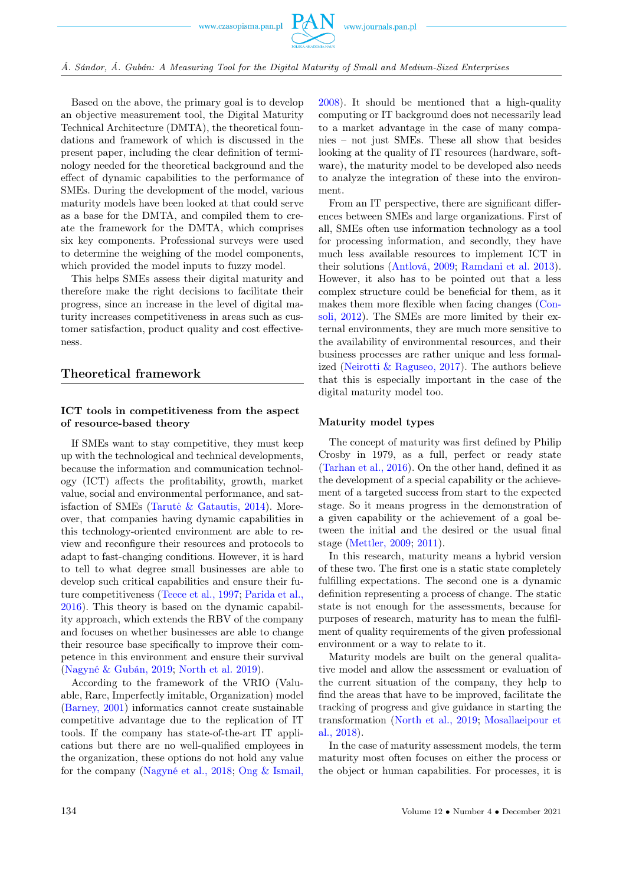

Based on the above, the primary goal is to develop an objective measurement tool, the Digital Maturity Technical Architecture (DMTA), the theoretical foundations and framework of which is discussed in the present paper, including the clear definition of terminology needed for the theoretical background and the effect of dynamic capabilities to the performance of SMEs. During the development of the model, various maturity models have been looked at that could serve as a base for the DMTA, and compiled them to create the framework for the DMTA, which comprises six key components. Professional surveys were used to determine the weighing of the model components, which provided the model inputs to fuzzy model.

This helps SMEs assess their digital maturity and therefore make the right decisions to facilitate their progress, since an increase in the level of digital maturity increases competitiveness in areas such as customer satisfaction, product quality and cost effectiveness.

### Theoretical framework

## ICT tools in competitiveness from the aspect of resource-based theory

If SMEs want to stay competitive, they must keep up with the technological and technical developments, because the information and communication technology (ICT) affects the profitability, growth, market value, social and environmental performance, and satisfaction of SMEs (Tarute  $\&$  Gatautis, 2014). Moreover, that companies having dynamic capabilities in this technology-oriented environment are able to review and reconfigure their resources and protocols to adapt to fast-changing conditions. However, it is hard to tell to what degree small businesses are able to develop such critical capabilities and ensure their future competitiveness [\(Teece et al., 1997;](#page-8-0) [Parida et al.,](#page-8-0) [2016\)](#page-8-0). This theory is based on the dynamic capability approach, which extends the RBV of the company and focuses on whether businesses are able to change their resource base specifically to improve their competence in this environment and ensure their survival [\(Nagyné & Gubán, 2019;](#page-8-0) [North et al. 2019\)](#page-8-0).

According to the framework of the VRIO (Valuable, Rare, Imperfectly imitable, Organization) model [\(Barney, 2001\)](#page-8-0) informatics cannot create sustainable competitive advantage due to the replication of IT tools. If the company has state-of-the-art IT applications but there are no well-qualified employees in the organization, these options do not hold any value for the company [\(Nagyné et al., 2018;](#page-8-0) [Ong & Ismail,](#page-8-0)

[2008\)](#page-8-0). It should be mentioned that a high-quality computing or IT background does not necessarily lead to a market advantage in the case of many companies – not just SMEs. These all show that besides looking at the quality of IT resources (hardware, software), the maturity model to be developed also needs to analyze the integration of these into the environment.

From an IT perspective, there are significant differences between SMEs and large organizations. First of all, SMEs often use information technology as a tool for processing information, and secondly, they have much less available resources to implement ICT in their solutions [\(Antlová, 2009;](#page-8-0) [Ramdani et al. 2013\)](#page-8-0). However, it also has to be pointed out that a less complex structure could be beneficial for them, as it makes them more flexible when facing changes [\(Con](#page-8-0)[soli, 2012\)](#page-8-0). The SMEs are more limited by their external environments, they are much more sensitive to the availability of environmental resources, and their business processes are rather unique and less formalized [\(Neirotti & Raguseo, 2017\)](#page-8-0). The authors believe that this is especially important in the case of the digital maturity model too.

#### Maturity model types

The concept of maturity was first defined by Philip Crosby in 1979, as a full, perfect or ready state [\(Tarhan et al., 2016\)](#page-8-0). On the other hand, defined it as the development of a special capability or the achievement of a targeted success from start to the expected stage. So it means progress in the demonstration of a given capability or the achievement of a goal between the initial and the desired or the usual final stage [\(Mettler, 2009;](#page-8-0) [2011\)](#page-8-0).

In this research, maturity means a hybrid version of these two. The first one is a static state completely fulfilling expectations. The second one is a dynamic definition representing a process of change. The static state is not enough for the assessments, because for purposes of research, maturity has to mean the fulfilment of quality requirements of the given professional environment or a way to relate to it.

Maturity models are built on the general qualitative model and allow the assessment or evaluation of the current situation of the company, they help to find the areas that have to be improved, facilitate the tracking of progress and give guidance in starting the transformation [\(North et al., 2019;](#page-8-0) [Mosallaeipour et](#page-8-0) [al., 2018\)](#page-8-0).

In the case of maturity assessment models, the term maturity most often focuses on either the process or the object or human capabilities. For processes, it is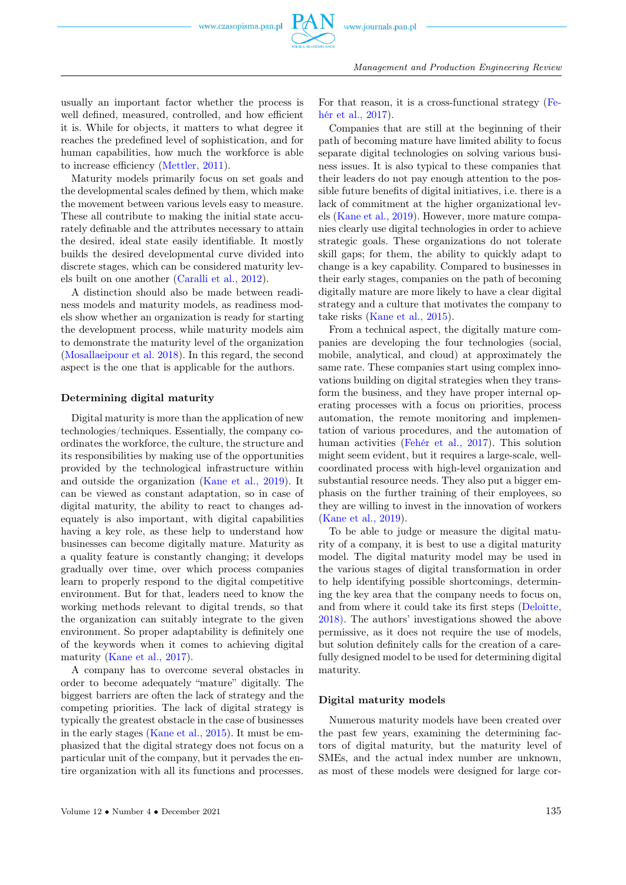

usually an important factor whether the process is well defined, measured, controlled, and how efficient it is. While for objects, it matters to what degree it reaches the predefined level of sophistication, and for human capabilities, how much the workforce is able to increase efficiency [\(Mettler, 2011\)](#page-8-0).

Maturity models primarily focus on set goals and the developmental scales defined by them, which make the movement between various levels easy to measure. These all contribute to making the initial state accurately definable and the attributes necessary to attain the desired, ideal state easily identifiable. It mostly builds the desired developmental curve divided into discrete stages, which can be considered maturity levels built on one another [\(Caralli et al., 2012\)](#page-8-0).

A distinction should also be made between readiness models and maturity models, as readiness models show whether an organization is ready for starting the development process, while maturity models aim to demonstrate the maturity level of the organization [\(Mosallaeipour et al. 2018\)](#page-8-0). In this regard, the second aspect is the one that is applicable for the authors.

#### Determining digital maturity

Digital maturity is more than the application of new technologies/techniques. Essentially, the company coordinates the workforce, the culture, the structure and its responsibilities by making use of the opportunities provided by the technological infrastructure within and outside the organization [\(Kane et al., 2019\)](#page-8-0). It can be viewed as constant adaptation, so in case of digital maturity, the ability to react to changes adequately is also important, with digital capabilities having a key role, as these help to understand how businesses can become digitally mature. Maturity as a quality feature is constantly changing; it develops gradually over time, over which process companies learn to properly respond to the digital competitive environment. But for that, leaders need to know the working methods relevant to digital trends, so that the organization can suitably integrate to the given environment. So proper adaptability is definitely one of the keywords when it comes to achieving digital maturity [\(Kane et al., 2017\)](#page-8-0).

A company has to overcome several obstacles in order to become adequately "mature" digitally. The biggest barriers are often the lack of strategy and the competing priorities. The lack of digital strategy is typically the greatest obstacle in the case of businesses in the early stages [\(Kane et al., 2015\)](#page-8-0). It must be emphasized that the digital strategy does not focus on a particular unit of the company, but it pervades the entire organization with all its functions and processes.

For that reason, it is a cross-functional strategy [\(Fe](#page-8-0)[hér et al., 2017\)](#page-8-0).

Companies that are still at the beginning of their path of becoming mature have limited ability to focus separate digital technologies on solving various business issues. It is also typical to these companies that their leaders do not pay enough attention to the possible future benefits of digital initiatives, i.e. there is a lack of commitment at the higher organizational levels [\(Kane et al., 2019\)](#page-8-0). However, more mature companies clearly use digital technologies in order to achieve strategic goals. These organizations do not tolerate skill gaps; for them, the ability to quickly adapt to change is a key capability. Compared to businesses in their early stages, companies on the path of becoming digitally mature are more likely to have a clear digital strategy and a culture that motivates the company to take risks [\(Kane et al., 2015\)](#page-8-0).

From a technical aspect, the digitally mature companies are developing the four technologies (social, mobile, analytical, and cloud) at approximately the same rate. These companies start using complex innovations building on digital strategies when they transform the business, and they have proper internal operating processes with a focus on priorities, process automation, the remote monitoring and implementation of various procedures, and the automation of human activities [\(Fehér et al., 2017\)](#page-8-0). This solution might seem evident, but it requires a large-scale, wellcoordinated process with high-level organization and substantial resource needs. They also put a bigger emphasis on the further training of their employees, so they are willing to invest in the innovation of workers [\(Kane et al., 2019\)](#page-8-0).

To be able to judge or measure the digital maturity of a company, it is best to use a digital maturity model. The digital maturity model may be used in the various stages of digital transformation in order to help identifying possible shortcomings, determining the key area that the company needs to focus on, and from where it could take its first steps [\(Deloitte,](#page-8-0) [2018\).](#page-8-0) The authors' investigations showed the above permissive, as it does not require the use of models, but solution definitely calls for the creation of a carefully designed model to be used for determining digital maturity.

#### Digital maturity models

Numerous maturity models have been created over the past few years, examining the determining factors of digital maturity, but the maturity level of SMEs, and the actual index number are unknown, as most of these models were designed for large cor-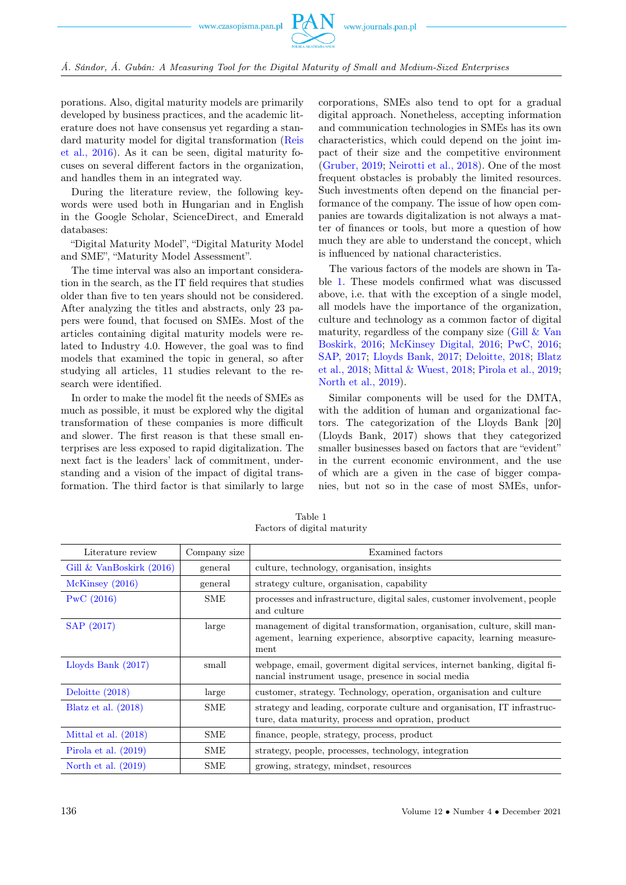

Á. Sándor, Á. Gubán: A Measuring Tool for the Digital Maturity of Small and Medium-Sized Enterprises

porations. Also, digital maturity models are primarily developed by business practices, and the academic literature does not have consensus yet regarding a standard maturity model for digital transformation [\(Reis](#page-8-0) [et al., 2016\)](#page-8-0). As it can be seen, digital maturity focuses on several different factors in the organization, and handles them in an integrated way.

During the literature review, the following keywords were used both in Hungarian and in English in the Google Scholar, ScienceDirect, and Emerald databases:

"Digital Maturity Model", "Digital Maturity Model and SME", "Maturity Model Assessment".

The time interval was also an important consideration in the search, as the IT field requires that studies older than five to ten years should not be considered. After analyzing the titles and abstracts, only 23 papers were found, that focused on SMEs. Most of the articles containing digital maturity models were related to Industry 4.0. However, the goal was to find models that examined the topic in general, so after studying all articles, 11 studies relevant to the research were identified.

In order to make the model fit the needs of SMEs as much as possible, it must be explored why the digital transformation of these companies is more difficult and slower. The first reason is that these small enterprises are less exposed to rapid digitalization. The next fact is the leaders' lack of commitment, understanding and a vision of the impact of digital transformation. The third factor is that similarly to large corporations, SMEs also tend to opt for a gradual digital approach. Nonetheless, accepting information and communication technologies in SMEs has its own characteristics, which could depend on the joint impact of their size and the competitive environment [\(Gruber, 2019;](#page-8-0) [Neirotti et al., 2018\)](#page-8-0). One of the most frequent obstacles is probably the limited resources. Such investments often depend on the financial performance of the company. The issue of how open companies are towards digitalization is not always a matter of finances or tools, but more a question of how much they are able to understand the concept, which is influenced by national characteristics.

The various factors of the models are shown in Table [1.](#page-3-0) These models confirmed what was discussed above, i.e. that with the exception of a single model, all models have the importance of the organization, culture and technology as a common factor of digital maturity, regardless of the company size (Gill  $&\&$  Van [Boskirk, 2016;](#page-8-0) [McKinsey Digital, 2016;](#page-8-0) [PwC, 2016;](#page-8-0) [SAP, 2017;](#page-8-0) [Lloyds Bank, 2017;](#page-8-0) [Deloitte, 2018;](#page-8-0) [Blatz](#page-8-0) [et al., 2018;](#page-8-0) [Mittal & Wuest, 2018;](#page-8-0) [Pirola et al., 2019;](#page-8-0) [North et al., 2019\)](#page-8-0).

Similar components will be used for the DMTA, with the addition of human and organizational factors. The categorization of the Lloyds Bank [20] (Lloyds Bank, 2017) shows that they categorized smaller businesses based on factors that are "evident" in the current economic environment, and the use of which are a given in the case of bigger companies, but not so in the case of most SMEs, unfor-

<span id="page-3-0"></span>

| Literature review           | Company size | Examined factors                                                                                                                                        |
|-----------------------------|--------------|---------------------------------------------------------------------------------------------------------------------------------------------------------|
| Gill $\&$ VanBoskirk (2016) | general      | culture, technology, organisation, insights                                                                                                             |
| McKinsey(2016)              | general      | strategy culture, organisation, capability                                                                                                              |
| PWC(2016)                   | SME          | processes and infrastructure, digital sales, customer involvement, people<br>and culture                                                                |
| SAP (2017)                  | large        | management of digital transformation, organisation, culture, skill man-<br>agement, learning experience, absorptive capacity, learning measure-<br>ment |
| Lloyds Bank $(2017)$        | small        | webpage, email, government digital services, internet banking, digital fi-<br>nancial instrument usage, presence in social media                        |
| Deloitte $(2018)$           | large        | customer, strategy. Technology, operation, organisation and culture                                                                                     |
| Blatz et al. $(2018)$       | SME          | strategy and leading, corporate culture and organisation, IT infrastruc-<br>ture, data maturity, process and opration, product                          |
| Mittal et al. $(2018)$      | SME          | finance, people, strategy, process, product                                                                                                             |
| Pirola et al. $(2019)$      | SME          | strategy, people, processes, technology, integration                                                                                                    |
| North et al. $(2019)$       | <b>SME</b>   | growing, strategy, mindset, resources                                                                                                                   |

Table 1 Factors of digital maturity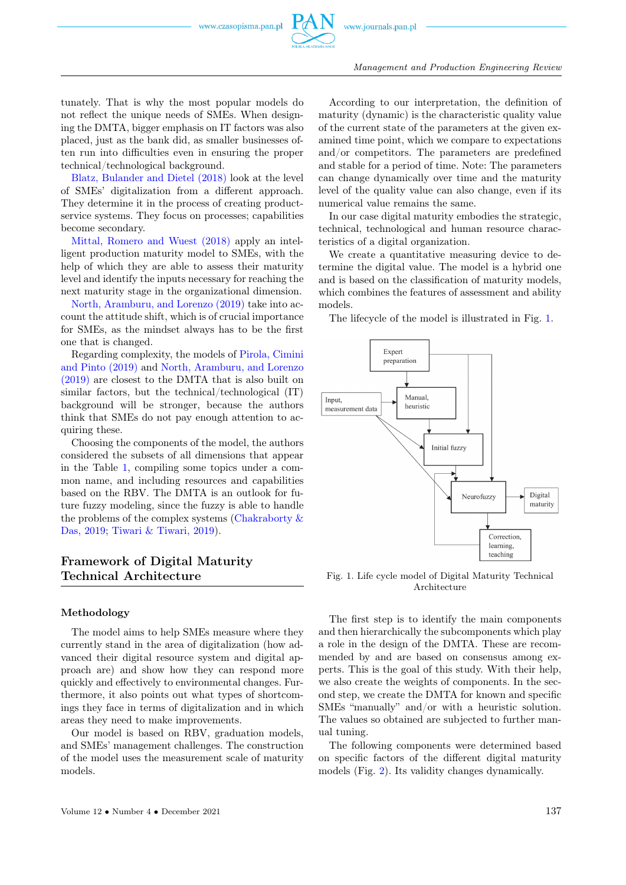

tunately. That is why the most popular models do not reflect the unique needs of SMEs. When designing the DMTA, bigger emphasis on IT factors was also placed, just as the bank did, as smaller businesses often run into difficulties even in ensuring the proper technical/technological background.

[Blatz, Bulander and Dietel \(2018\)](#page-8-0) look at the level of SMEs' digitalization from a different approach. They determine it in the process of creating productservice systems. They focus on processes; capabilities become secondary.

[Mittal, Romero and Wuest \(2018\)](#page-8-0) apply an intelligent production maturity model to SMEs, with the help of which they are able to assess their maturity level and identify the inputs necessary for reaching the next maturity stage in the organizational dimension.

[North, Aramburu, and Lorenzo \(2019\)](#page-8-0) take into account the attitude shift, which is of crucial importance for SMEs, as the mindset always has to be the first one that is changed.

Regarding complexity, the models of [Pirola, Cimini](#page-8-0) [and Pinto \(2019\)](#page-8-0) and [North, Aramburu, and Lorenzo](#page-8-0) [\(2019\)](#page-8-0) are closest to the DMTA that is also built on similar factors, but the technical/technological (IT) background will be stronger, because the authors think that SMEs do not pay enough attention to acquiring these.

Choosing the components of the model, the authors considered the subsets of all dimensions that appear in the Table [1,](#page-3-0) compiling some topics under a common name, and including resources and capabilities based on the RBV. The DMTA is an outlook for future fuzzy modeling, since the fuzzy is able to handle the problems of the complex systems (Chakraborty  $\&$ [Das, 2019;](#page-8-0) [Tiwari & Tiwari, 2019\)](#page-8-0).

# Framework of Digital Maturity Technical Architecture

#### Methodology

The model aims to help SMEs measure where they currently stand in the area of digitalization (how advanced their digital resource system and digital approach are) and show how they can respond more quickly and effectively to environmental changes. Furthermore, it also points out what types of shortcomings they face in terms of digitalization and in which areas they need to make improvements.

Our model is based on RBV, graduation models, and SMEs' management challenges. The construction of the model uses the measurement scale of maturity models.

According to our interpretation, the definition of maturity (dynamic) is the characteristic quality value of the current state of the parameters at the given examined time point, which we compare to expectations and/or competitors. The parameters are predefined and stable for a period of time. Note: The parameters can change dynamically over time and the maturity level of the quality value can also change, even if its numerical value remains the same.

In our case digital maturity embodies the strategic, technical, technological and human resource characteristics of a digital organization.

We create a quantitative measuring device to determine the digital value. The model is a hybrid one and is based on the classification of maturity models, which combines the features of assessment and ability models.

The lifecycle of the model is illustrated in Fig. [1.](#page-4-0)

<span id="page-4-0"></span>

Fig. 1. Life cycle model of Digital Maturity Technical Architecture

The first step is to identify the main components and then hierarchically the subcomponents which play a role in the design of the DMTA. These are recommended by and are based on consensus among experts. This is the goal of this study. With their help, we also create the weights of components. In the second step, we create the DMTA for known and specific SMEs "manually" and/or with a heuristic solution. The values so obtained are subjected to further manual tuning.

The following components were determined based on specific factors of the different digital maturity models (Fig. [2\)](#page-5-0). Its validity changes dynamically.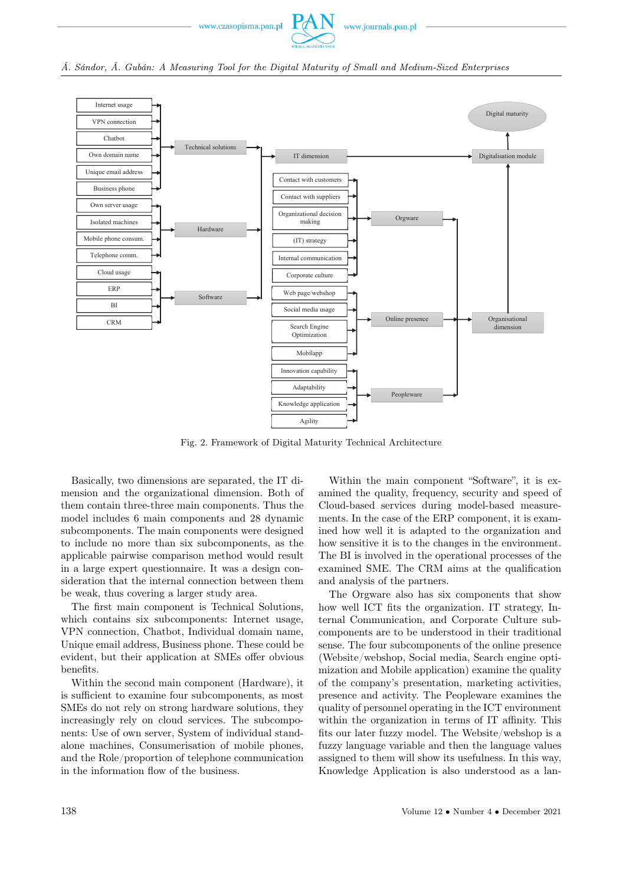



<span id="page-5-0"></span>

Fig. 2. Framework of Digital Maturity Technical Architecture

Basically, two dimensions are separated, the IT dimension and the organizational dimension. Both of them contain three-three main components. Thus the model includes 6 main components and 28 dynamic subcomponents. The main components were designed to include no more than six subcomponents, as the applicable pairwise comparison method would result in a large expert questionnaire. It was a design consideration that the internal connection between them be weak, thus covering a larger study area.

The first main component is Technical Solutions, which contains six subcomponents: Internet usage, VPN connection, Chatbot, Individual domain name, Unique email address, Business phone. These could be evident, but their application at SMEs offer obvious benefits.

Within the second main component (Hardware), it is sufficient to examine four subcomponents, as most SMEs do not rely on strong hardware solutions, they increasingly rely on cloud services. The subcomponents: Use of own server, System of individual standalone machines, Consumerisation of mobile phones, and the Role/proportion of telephone communication in the information flow of the business.

Within the main component "Software", it is examined the quality, frequency, security and speed of Cloud-based services during model-based measurements. In the case of the ERP component, it is examined how well it is adapted to the organization and how sensitive it is to the changes in the environment. The BI is involved in the operational processes of the examined SME. The CRM aims at the qualification and analysis of the partners.

The Orgware also has six components that show how well ICT fits the organization. IT strategy, Internal Communication, and Corporate Culture subcomponents are to be understood in their traditional sense. The four subcomponents of the online presence (Website/webshop, Social media, Search engine optimization and Mobile application) examine the quality of the company's presentation, marketing activities, presence and activity. The Peopleware examines the quality of personnel operating in the ICT environment within the organization in terms of IT affinity. This fits our later fuzzy model. The Website/webshop is a fuzzy language variable and then the language values assigned to them will show its usefulness. In this way, Knowledge Application is also understood as a lan-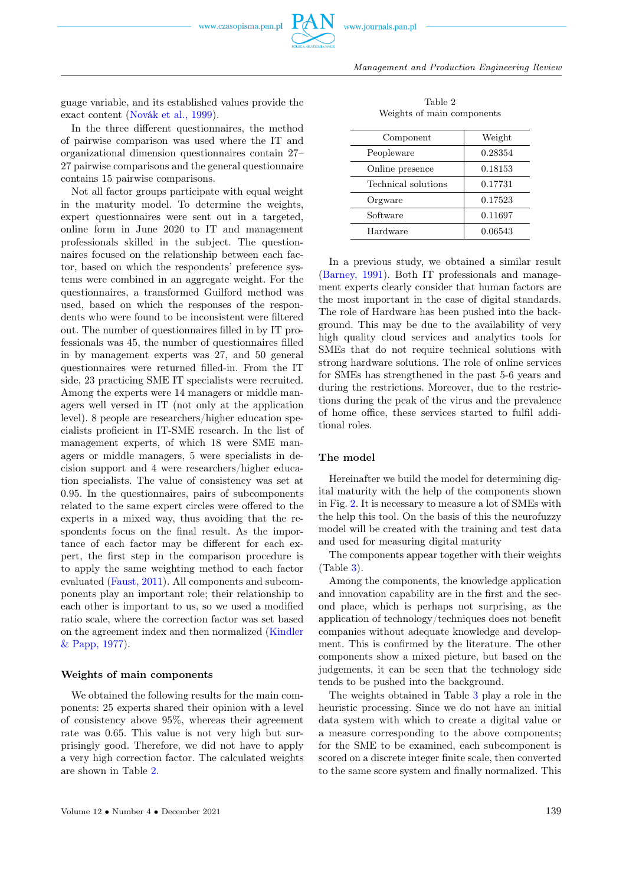

<span id="page-6-0"></span>Management and Production Engineering Review

guage variable, and its established values provide the exact content [\(Novák et al., 1999\)](#page-8-0).

In the three different questionnaires, the method of pairwise comparison was used where the IT and organizational dimension questionnaires contain 27– 27 pairwise comparisons and the general questionnaire contains 15 pairwise comparisons.

Not all factor groups participate with equal weight in the maturity model. To determine the weights, expert questionnaires were sent out in a targeted, online form in June 2020 to IT and management professionals skilled in the subject. The questionnaires focused on the relationship between each factor, based on which the respondents' preference systems were combined in an aggregate weight. For the questionnaires, a transformed Guilford method was used, based on which the responses of the respondents who were found to be inconsistent were filtered out. The number of questionnaires filled in by IT professionals was 45, the number of questionnaires filled in by management experts was 27, and 50 general questionnaires were returned filled-in. From the IT side, 23 practicing SME IT specialists were recruited. Among the experts were 14 managers or middle managers well versed in IT (not only at the application level). 8 people are researchers/higher education specialists proficient in IT-SME research. In the list of management experts, of which 18 were SME managers or middle managers, 5 were specialists in decision support and 4 were researchers/higher education specialists. The value of consistency was set at 0.95. In the questionnaires, pairs of subcomponents related to the same expert circles were offered to the experts in a mixed way, thus avoiding that the respondents focus on the final result. As the importance of each factor may be different for each expert, the first step in the comparison procedure is to apply the same weighting method to each factor evaluated [\(Faust, 2011\)](#page-8-0). All components and subcomponents play an important role; their relationship to each other is important to us, so we used a modified ratio scale, where the correction factor was set based on the agreement index and then normalized [\(Kindler](#page-8-0) [& Papp, 1977\)](#page-8-0).

#### Weights of main components

We obtained the following results for the main components: 25 experts shared their opinion with a level of consistency above 95%, whereas their agreement rate was 0.65. This value is not very high but surprisingly good. Therefore, we did not have to apply a very high correction factor. The calculated weights are shown in Table [2.](#page-6-0)

| Component           | Weight  |
|---------------------|---------|
| Peopleware          | 0.28354 |
| Online presence     | 0.18153 |
| Technical solutions | 0.17731 |
| Orgware             | 0.17523 |
| Software            | 0.11697 |
| Hardware            | 0.06543 |

Table 2 Weights of main components

In a previous study, we obtained a similar result [\(Barney, 1991\)](#page-8-0). Both IT professionals and management experts clearly consider that human factors are the most important in the case of digital standards. The role of Hardware has been pushed into the background. This may be due to the availability of very high quality cloud services and analytics tools for SMEs that do not require technical solutions with strong hardware solutions. The role of online services for SMEs has strengthened in the past 5-6 years and during the restrictions. Moreover, due to the restrictions during the peak of the virus and the prevalence of home office, these services started to fulfil additional roles.

#### The model

Hereinafter we build the model for determining digital maturity with the help of the components shown in Fig. [2.](#page-5-0) It is necessary to measure a lot of SMEs with the help this tool. On the basis of this the neurofuzzy model will be created with the training and test data and used for measuring digital maturity

The components appear together with their weights (Table [3\)](#page-7-0).

Among the components, the knowledge application and innovation capability are in the first and the second place, which is perhaps not surprising, as the application of technology/techniques does not benefit companies without adequate knowledge and development. This is confirmed by the literature. The other components show a mixed picture, but based on the judgements, it can be seen that the technology side tends to be pushed into the background.

The weights obtained in Table [3](#page-7-0) play a role in the heuristic processing. Since we do not have an initial data system with which to create a digital value or a measure corresponding to the above components; for the SME to be examined, each subcomponent is scored on a discrete integer finite scale, then converted to the same score system and finally normalized. This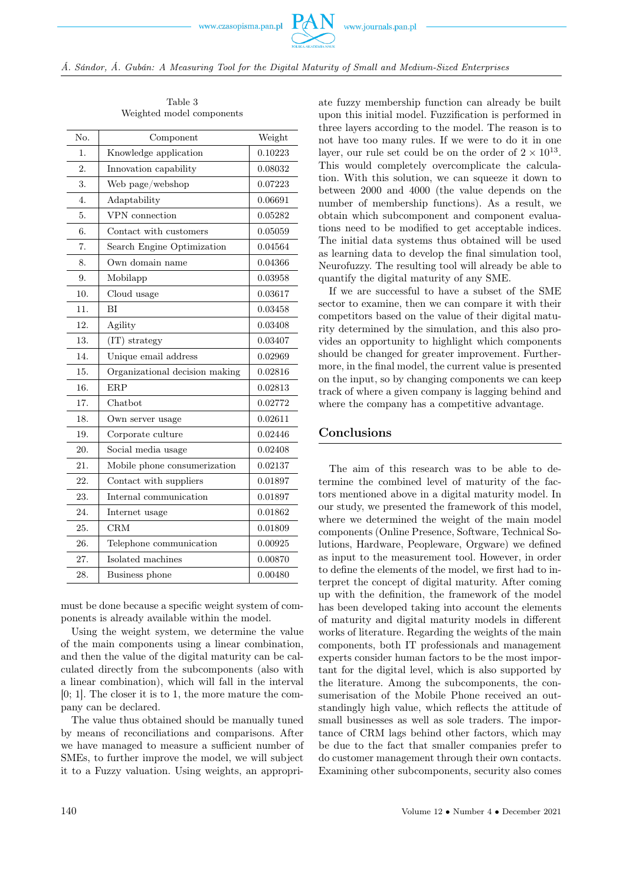<span id="page-7-0"></span>

| No.              | Component                      | Weight  |
|------------------|--------------------------------|---------|
| 1.               | Knowledge application          | 0.10223 |
| 2.               | Innovation capability          | 0.08032 |
| 3.               | Web page/webshop               | 0.07223 |
| $\overline{4}$ . | Adaptability                   | 0.06691 |
| 5.               | VPN connection                 | 0.05282 |
| 6.               | Contact with customers         | 0.05059 |
| 7.               | Search Engine Optimization     | 0.04564 |
| 8.               | Own domain name                | 0.04366 |
| 9.               | Mobilapp                       | 0.03958 |
| 10.              | Cloud usage                    | 0.03617 |
| 11.              | BI                             | 0.03458 |
| 12.              | Agility                        | 0.03408 |
| 13.              | (IT) strategy                  | 0.03407 |
| 14.              | Unique email address           | 0.02969 |
| 15.              | Organizational decision making | 0.02816 |
| 16.              | <b>ERP</b>                     | 0.02813 |
| 17.              | Chatbot                        | 0.02772 |
| 18.              | Own server usage               | 0.02611 |
| 19.              | Corporate culture              | 0.02446 |
| 20.              | Social media usage             | 0.02408 |
| 21.              | Mobile phone consumerization   | 0.02137 |
| 22.              | Contact with suppliers         | 0.01897 |
| 23.              | Internal communication         | 0.01897 |
| 24.              | Internet usage                 | 0.01862 |
| 25.              | <b>CRM</b>                     | 0.01809 |
| 26.              | Telephone communication        | 0.00925 |
| 27.              | Isolated machines              | 0.00870 |
| 28.              | Business phone                 | 0.00480 |

Table 3 Weighted model components

must be done because a specific weight system of components is already available within the model.

Using the weight system, we determine the value of the main components using a linear combination, and then the value of the digital maturity can be calculated directly from the subcomponents (also with a linear combination), which will fall in the interval [0; 1]. The closer it is to 1, the more mature the company can be declared.

The value thus obtained should be manually tuned by means of reconciliations and comparisons. After we have managed to measure a sufficient number of SMEs, to further improve the model, we will subject it to a Fuzzy valuation. Using weights, an appropriate fuzzy membership function can already be built upon this initial model. Fuzzification is performed in three layers according to the model. The reason is to not have too many rules. If we were to do it in one layer, our rule set could be on the order of  $2 \times 10^{13}$ . This would completely overcomplicate the calculation. With this solution, we can squeeze it down to between 2000 and 4000 (the value depends on the number of membership functions). As a result, we obtain which subcomponent and component evaluations need to be modified to get acceptable indices. The initial data systems thus obtained will be used as learning data to develop the final simulation tool, Neurofuzzy. The resulting tool will already be able to quantify the digital maturity of any SME.

If we are successful to have a subset of the SME sector to examine, then we can compare it with their competitors based on the value of their digital maturity determined by the simulation, and this also provides an opportunity to highlight which components should be changed for greater improvement. Furthermore, in the final model, the current value is presented on the input, so by changing components we can keep track of where a given company is lagging behind and where the company has a competitive advantage.

# Conclusions

The aim of this research was to be able to determine the combined level of maturity of the factors mentioned above in a digital maturity model. In our study, we presented the framework of this model, where we determined the weight of the main model components (Online Presence, Software, Technical Solutions, Hardware, Peopleware, Orgware) we defined as input to the measurement tool. However, in order to define the elements of the model, we first had to interpret the concept of digital maturity. After coming up with the definition, the framework of the model has been developed taking into account the elements of maturity and digital maturity models in different works of literature. Regarding the weights of the main components, both IT professionals and management experts consider human factors to be the most important for the digital level, which is also supported by the literature. Among the subcomponents, the consumerisation of the Mobile Phone received an outstandingly high value, which reflects the attitude of small businesses as well as sole traders. The importance of CRM lags behind other factors, which may be due to the fact that smaller companies prefer to do customer management through their own contacts. Examining other subcomponents, security also comes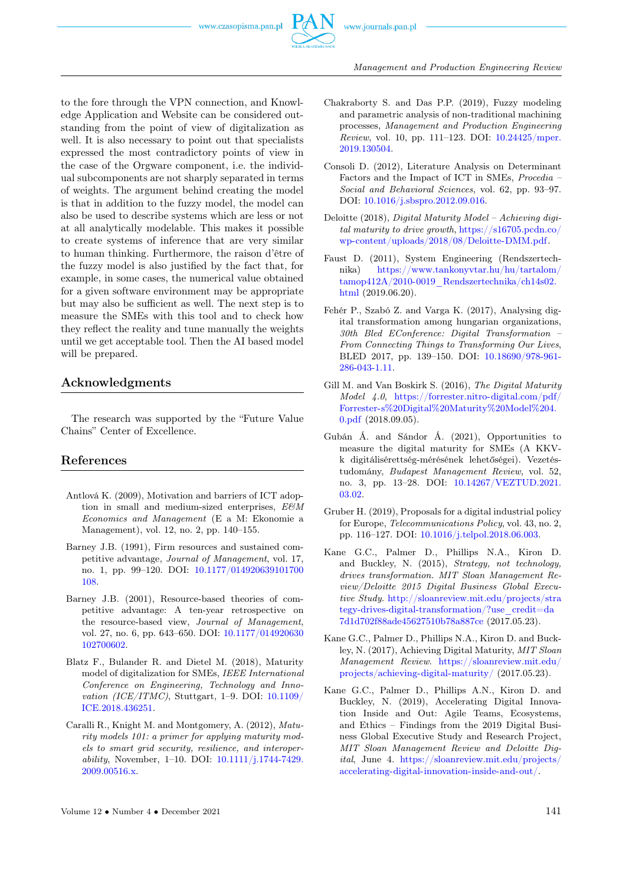

to the fore through the VPN connection, and Knowledge Application and Website can be considered outstanding from the point of view of digitalization as well. It is also necessary to point out that specialists expressed the most contradictory points of view in the case of the Orgware component, i.e. the individual subcomponents are not sharply separated in terms of weights. The argument behind creating the model is that in addition to the fuzzy model, the model can also be used to describe systems which are less or not at all analytically modelable. This makes it possible to create systems of inference that are very similar to human thinking. Furthermore, the raison d'être of the fuzzy model is also justified by the fact that, for example, in some cases, the numerical value obtained for a given software environment may be appropriate but may also be sufficient as well. The next step is to measure the SMEs with this tool and to check how they reflect the reality and tune manually the weights until we get acceptable tool. Then the AI based model will be prepared.

## Acknowledgments

The research was supported by the "Future Value Chains" Center of Excellence.

#### <span id="page-8-0"></span>References

- Antlová K. (2009), Motivation and barriers of ICT adoption in small and medium-sized enterprises,  $EEM$ Economics and Management (E a M: Ekonomie a Management), vol. 12, no. 2, pp. 140–155.
- Barney J.B. (1991), Firm resources and sustained competitive advantage, Journal of Management, vol. 17, no. 1, pp. 99–120. DOI: [10.1177/014920639101700](https://doi.org/10.1177/014920639101700108) [108.](https://doi.org/10.1177/014920639101700108)
- Barney J.B. (2001), Resource-based theories of competitive advantage: A ten-year retrospective on the resource-based view, Journal of Management, vol. 27, no. 6, pp. 643–650. DOI: [10.1177/014920630](https://doi.org/10.1177/014920630102700602) [102700602.](https://doi.org/10.1177/014920630102700602)
- Blatz F., Bulander R. and Dietel M. (2018), Maturity model of digitalization for SMEs, IEEE International Conference on Engineering, Technology and Innovation (ICE/ITMC), Stuttgart, 1–9. DOI: [10.1109/](https://doi.org/10.1109/ICE.2018.8436251) [ICE.2018.436251.](https://doi.org/10.1109/ICE.2018.8436251)
- Caralli R., Knight M. and Montgomery, A. (2012), Maturity models 101: a primer for applying maturity models to smart grid security, resilience, and interoperability, November, 1–10. DOI: [10.1111/j.1744-7429.](https://doi.org/10.1111/j.1744-7429.2009.00516.x) [2009.00516.x.](https://doi.org/10.1111/j.1744-7429.2009.00516.x)
- Chakraborty S. and Das P.P. (2019), Fuzzy modeling and parametric analysis of non-traditional machining processes, Management and Production Engineering Review, vol. 10, pp. 111–123. DOI: [10.24425/mper.](https://doi.org/10.24425/mper.2019.130504) [2019.130504.](https://doi.org/10.24425/mper.2019.130504)
- Consoli D. (2012), Literature Analysis on Determinant Factors and the Impact of ICT in SMEs, Procedia – Social and Behavioral Sciences, vol. 62, pp. 93–97. DOI: [10.1016/j.sbspro.2012.09.016.](https://doi.org/10.1016/j.sbspro.2012.09.016)
- Deloitte (2018), Digital Maturity Model Achieving digital maturity to drive growth, [https://s16705.pcdn.co/](https://s16705.pcdn.co/wp-content/uploads/2018/08/Deloitte-DMM.pdf) [wp-content/uploads/2018/08/Deloitte-DMM.pdf.](https://s16705.pcdn.co/wp-content/uploads/2018/08/Deloitte-DMM.pdf)
- Faust D. (2011), System Engineering (Rendszertechnika) [https://www.tankonyvtar.hu/hu/tartalom/](https://www.tankonyvtar.hu/hu/tartalom/tamop412A/2010-0019_Rendszertechnika/ch14s02.html) [tamop412A/2010-0019\\_Rendszertechnika/ch14s02.](https://www.tankonyvtar.hu/hu/tartalom/tamop412A/2010-0019_Rendszertechnika/ch14s02.html) [html](https://www.tankonyvtar.hu/hu/tartalom/tamop412A/2010-0019_Rendszertechnika/ch14s02.html) (2019.06.20).
- Fehér P., Szabó Z. and Varga K. (2017), Analysing digital transformation among hungarian organizations, 30th Bled EConference: Digital Transformation – From Connecting Things to Transforming Our Lives, BLED 2017, pp. 139–150. DOI: [10.18690/978-961-](https://doi.org/10.18690/978-961-286-043-1.11) [286-043-1.11.](https://doi.org/10.18690/978-961-286-043-1.11)
- Gill M. and Van Boskirk S. (2016), The Digital Maturity Model 4.0, [https://forrester.nitro-digital.com/pdf/](https://forrester.nitro-digital.com/pdf/Forrester-s%20Digital%20Maturity%20Model%204.0.pdf) [Forrester-s%20Digital%20Maturity%20Model%204.](https://forrester.nitro-digital.com/pdf/Forrester-s%20Digital%20Maturity%20Model%204.0.pdf) [0.pdf](https://forrester.nitro-digital.com/pdf/Forrester-s%20Digital%20Maturity%20Model%204.0.pdf) (2018.09.05).
- Gubán Á. and Sándor Á. (2021), Opportunities to measure the digital maturity for SMEs (A KKVk digitálisérettség-mérésének lehetőségei). Vezetéstudomány, Budapest Management Review, vol. 52, no. 3, pp. 13–28. DOI: [10.14267/VEZTUD.2021.](https://doi.org/10.14267/VEZTUD.2021.03.02) [03.02.](https://doi.org/10.14267/VEZTUD.2021.03.02)
- Gruber H. (2019), Proposals for a digital industrial policy for Europe, Telecommunications Policy, vol. 43, no. 2, pp. 116–127. DOI: [10.1016/j.telpol.2018.06.003.](https://doi.org/10.1016/j.telpol.2018.06.003)
- Kane G.C., Palmer D., Phillips N.A., Kiron D. and Buckley, N. (2015), Strategy, not technology, drives transformation. MIT Sloan Management Review/Deloitte 2015 Digital Business Global Executive Study. [http://sloanreview.mit.edu/projects/stra](http://sloanreview.mit.edu/projects/strategy-drives-digital-transformation/?use_credit=da7d1d702f88ade45627510b78a887ce) [tegy-drives-digital-transformation/?use\\_credit=da](http://sloanreview.mit.edu/projects/strategy-drives-digital-transformation/?use_credit=da7d1d702f88ade45627510b78a887ce) [7d1d702f88ade45627510b78a887ce](http://sloanreview.mit.edu/projects/strategy-drives-digital-transformation/?use_credit=da7d1d702f88ade45627510b78a887ce) (2017.05.23).
- Kane G.C., Palmer D., Phillips N.A., Kiron D. and Buckley, N. (2017), Achieving Digital Maturity, MIT Sloan Management Review. [https://sloanreview.mit.edu/](https://sloanreview.mit.edu/projects/achieving-digital-maturity/) [projects/achieving-digital-maturity/](https://sloanreview.mit.edu/projects/achieving-digital-maturity/) (2017.05.23).
- Kane G.C., Palmer D., Phillips A.N., Kiron D. and Buckley, N. (2019), Accelerating Digital Innovation Inside and Out: Agile Teams, Ecosystems, and Ethics – Findings from the 2019 Digital Business Global Executive Study and Research Project, MIT Sloan Management Review and Deloitte Digital, June 4. [https://sloanreview.mit.edu/projects/](https://sloanreview.mit.edu/projects/accelerating-digital-innovation-inside-and-out/) [accelerating-digital-innovation-inside-and-out/.](https://sloanreview.mit.edu/projects/accelerating-digital-innovation-inside-and-out/)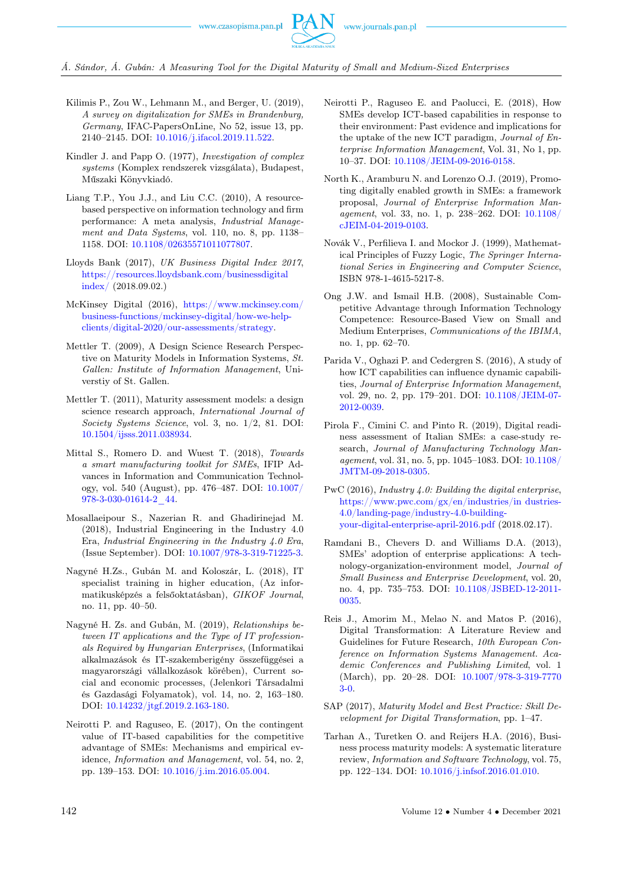Á. Sándor, Á. Gubán: A Measuring Tool for the Digital Maturity of Small and Medium-Sized Enterprises

- Kilimis P., Zou W., Lehmann M., and Berger, U. (2019), A survey on digitalization for SMEs in Brandenburg, Germany, IFAC-PapersOnLine, No 52, issue 13, pp. 2140–2145. DOI: [10.1016/j.ifacol.2019.11.522.](https://doi.org/10.1016/j.ifacol.2019.11.522)
- Kindler J. and Papp O. (1977), Investigation of complex systems (Komplex rendszerek vizsgálata), Budapest, Műszaki Könyvkiadó.
- Liang T.P., You J.J., and Liu C.C. (2010), A resourcebased perspective on information technology and firm performance: A meta analysis, Industrial Management and Data Systems, vol. 110, no. 8, pp. 1138– 1158. DOI: [10.1108/02635571011077807.](https://doi.org/10.1108/02635571011077807)
- Lloyds Bank (2017), UK Business Digital Index 2017, [https://resources.lloydsbank.com/businessdigital](https://resources.lloydsbank.com/businessdigitalindex/) [index/](https://resources.lloydsbank.com/businessdigitalindex/) (2018.09.02.)
- McKinsey Digital (2016), [https://www.mckinsey.com/](https://www.mckinsey.com/business-functions/mckinsey-digital/how-we-help-clients/digital-2020/our-assessments/strategy) [business-functions/mckinsey-digital/how-we-help](https://www.mckinsey.com/business-functions/mckinsey-digital/how-we-help-clients/digital-2020/our-assessments/strategy)[clients/digital-2020/our-assessments/strategy.](https://www.mckinsey.com/business-functions/mckinsey-digital/how-we-help-clients/digital-2020/our-assessments/strategy)
- Mettler T. (2009), A Design Science Research Perspective on Maturity Models in Information Systems, St. Gallen: Institute of Information Management, Universtiy of St. Gallen.
- Mettler T. (2011), Maturity assessment models: a design science research approach, International Journal of Society Systems Science, vol. 3, no. 1/2, 81. DOI: [10.1504/ijsss.2011.038934.](https://doi.org/10.1504/ijsss.2011.038934)
- Mittal S., Romero D. and Wuest T. (2018), Towards a smart manufacturing toolkit for SMEs, IFIP Advances in Information and Communication Technology, vol. 540 (August), pp. 476–487. DOI: [10.1007/](https://doi.org/10.1007/978-3-030-01614-2_44) [978-3-030-01614-2\\_44.](https://doi.org/10.1007/978-3-030-01614-2_44)
- Mosallaeipour S., Nazerian R. and Ghadirinejad M. (2018), Industrial Engineering in the Industry 4.0 Era, Industrial Engineering in the Industry 4.0 Era, (Issue September). DOI: [10.1007/978-3-319-71225-3.](https://doi.org/10.1007/978-3-319-71225-3)
- Nagyné H.Zs., Gubán M. and Koloszár, L. (2018), IT specialist training in higher education, (Az informatikusképzés a felsőoktatásban), GIKOF Journal, no. 11, pp. 40–50.
- Nagyné H. Zs. and Gubán, M. (2019), Relationships between IT applications and the Type of IT professionals Required by Hungarian Enterprises, (Informatikai alkalmazások és IT-szakemberigény összefüggései a magyarországi vállalkozások körében), Current social and economic processes, (Jelenkori Társadalmi és Gazdasági Folyamatok), vol. 14, no. 2, 163–180. DOI: [10.14232/jtgf.2019.2.163-180.](https://doi.org/10.14232/jtgf.2019.2.163-180)
- Neirotti P. and Raguseo, E. (2017), On the contingent value of IT-based capabilities for the competitive advantage of SMEs: Mechanisms and empirical evidence, Information and Management, vol. 54, no. 2, pp. 139–153. DOI: [10.1016/j.im.2016.05.004.](https://doi.org/10.1016/j.im.2016.05.004)
- Neirotti P., Raguseo E. and Paolucci, E. (2018), How SMEs develop ICT-based capabilities in response to their environment: Past evidence and implications for the uptake of the new ICT paradigm, Journal of Enterprise Information Management, Vol. 31, No 1, pp. 10–37. DOI: [10.1108/JEIM-09-2016-0158.](https://doi.org/10.1108/JEIM-09-2016-0158)
- North K., Aramburu N. and Lorenzo O.J. (2019), Promoting digitally enabled growth in SMEs: a framework proposal, Journal of Enterprise Information Management, vol. 33, no. 1, p. 238–262. DOI: [10.1108/](https://doi.org/10.1108/JEIM-04-2019-0103) [cJEIM-04-2019-0103.](https://doi.org/10.1108/JEIM-04-2019-0103)
- Novák V., Perfilieva I. and Mockor J. (1999), Mathematical Principles of Fuzzy Logic, The Springer International Series in Engineering and Computer Science, ISBN 978-1-4615-5217-8.
- Ong J.W. and Ismail H.B. (2008), Sustainable Competitive Advantage through Information Technology Competence: Resource-Based View on Small and Medium Enterprises, Communications of the IBIMA, no. 1, pp. 62–70.
- Parida V., Oghazi P. and Cedergren S. (2016), A study of how ICT capabilities can influence dynamic capabilities, Journal of Enterprise Information Management, vol. 29, no. 2, pp. 179–201. DOI: [10.1108/JEIM-07-](https://doi.org/10.1108/JEIM-07-2012-0039) [2012-0039.](https://doi.org/10.1108/JEIM-07-2012-0039)
- Pirola F., Cimini C. and Pinto R. (2019), Digital readiness assessment of Italian SMEs: a case-study research, Journal of Manufacturing Technology Management, vol. 31, no. 5, pp. 1045–1083. DOI: [10.1108/](https://doi.org/10.1108/JMTM-09-2018-0305) [JMTM-09-2018-0305.](https://doi.org/10.1108/JMTM-09-2018-0305)
- PwC (2016), Industry 4.0: Building the digital enterprise, [https://www.pwc.com/gx/en/industries/in dustries-](https://www.pwc.com/gx/en/industries/industries-4.0/landing-page/industry-4.0-building-your-digital-enterprise-april-2016.pdf)[4.0/landing-page/industry-4.0-building](https://www.pwc.com/gx/en/industries/industries-4.0/landing-page/industry-4.0-building-your-digital-enterprise-april-2016.pdf)[your-digital-enterprise-april-2016.pdf](https://www.pwc.com/gx/en/industries/industries-4.0/landing-page/industry-4.0-building-your-digital-enterprise-april-2016.pdf) (2018.02.17).
- Ramdani B., Chevers D. and Williams D.A. (2013), SMEs' adoption of enterprise applications: A technology-organization-environment model, Journal of Small Business and Enterprise Development, vol. 20, no. 4, pp. 735–753. DOI: [10.1108/JSBED-12-2011-](https://doi.org/10.1108/JSBED-12-2011-0035) [0035.](https://doi.org/10.1108/JSBED-12-2011-0035)
- Reis J., Amorim M., Melao N. and Matos P. (2016), Digital Transformation: A Literature Review and Guidelines for Future Research, 10th European Conference on Information Systems Management. Academic Conferences and Publishing Limited, vol. 1 (March), pp. 20–28. DOI: [10.1007/978-3-319-7770](https://doi.org/10.1007/978-3-319-77703-0) [3-0.](https://doi.org/10.1007/978-3-319-77703-0)
- SAP (2017), Maturity Model and Best Practice: Skill Development for Digital Transformation, pp. 1–47.
- Tarhan A., Turetken O. and Reijers H.A. (2016), Business process maturity models: A systematic literature review, Information and Software Technology, vol. 75, pp. 122–134. DOI: [10.1016/j.infsof.2016.01.010.](https://doi.org/10.1016/j.infsof.2016.01.010)